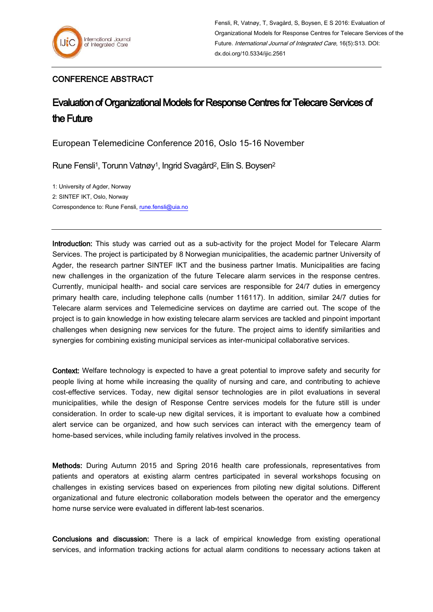## CONFERENCE ABSTRACT

## Evaluation of Organizational Models for Response Centres for Telecare Services of the Future

European Telemedicine Conference 2016, Oslo 15-16 November

Rune Fensli<sup>1</sup>, Torunn Vatnøy<sup>1</sup>, Ingrid Svagård<sup>2</sup>, Elin S. Boysen<sup>2</sup>

1: University of Agder, Norway 2: SINTEF IKT, Oslo, Norway Correspondence to: Rune Fensli, [rune.fensli@uia.no](mailto:rune.fensli@uia.no)

Introduction: This study was carried out as a sub-activity for the project Model for Telecare Alarm Services. The project is participated by 8 Norwegian municipalities, the academic partner University of Agder, the research partner SINTEF IKT and the business partner Imatis. Municipalities are facing new challenges in the organization of the future Telecare alarm services in the response centres. Currently, municipal health- and social care services are responsible for 24/7 duties in emergency primary health care, including telephone calls (number 116117). In addition, similar 24/7 duties for Telecare alarm services and Telemedicine services on daytime are carried out. The scope of the project is to gain knowledge in how existing telecare alarm services are tackled and pinpoint important challenges when designing new services for the future. The project aims to identify similarities and synergies for combining existing municipal services as inter-municipal collaborative services.

Context: Welfare technology is expected to have a great potential to improve safety and security for people living at home while increasing the quality of nursing and care, and contributing to achieve cost-effective services. Today, new digital sensor technologies are in pilot evaluations in several municipalities, while the design of Response Centre services models for the future still is under consideration. In order to scale-up new digital services, it is important to evaluate how a combined alert service can be organized, and how such services can interact with the emergency team of home-based services, while including family relatives involved in the process.

Methods: During Autumn 2015 and Spring 2016 health care professionals, representatives from patients and operators at existing alarm centres participated in several workshops focusing on challenges in existing services based on experiences from piloting new digital solutions. Different organizational and future electronic collaboration models between the operator and the emergency home nurse service were evaluated in different lab-test scenarios.

Conclusions and discussion: There is a lack of empirical knowledge from existing operational services, and information tracking actions for actual alarm conditions to necessary actions taken at